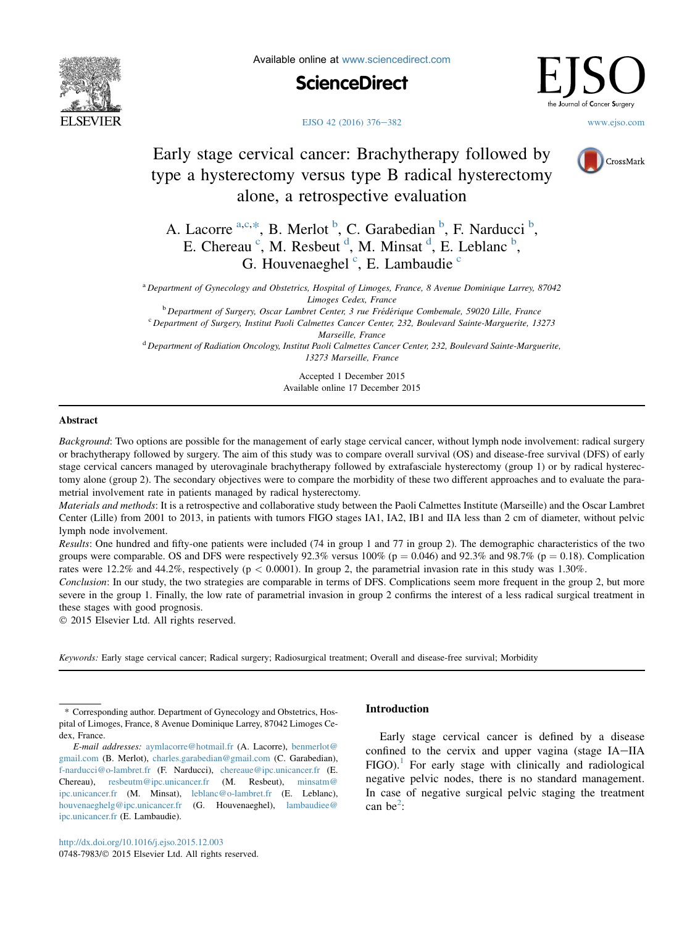

Available online at [www.sciencedirect.com](www.sciencedirect.com/science/journal/07487983)



.<br>urnal of **C**ancer **S**urgery

#### [EJSO 42 \(2016\) 376](http://dx.doi.org/10.1016/j.ejso.2015.12.003)–[382](http://dx.doi.org/10.1016/j.ejso.2015.12.003) [www.ejso.com](http://www.ejso.com)

# Early stage cervical cancer: Brachytherapy followed by type a hysterectomy versus type B radical hysterectomy alone, a retrospective evaluation



A. Lacorre <sup>a,c,\*</sup>, B. Merlot <sup>b</sup>, C. Garabedian <sup>b</sup>, F. Narducci <sup>b</sup>, E. Chereau<sup>c</sup>, M. Resbeut<sup>d</sup>, M. Minsat<sup>d</sup>, E. Leblanc<sup>b</sup>, G. Houvenaeghel<sup>c</sup>, E. Lambaudie<sup>c</sup>

<sup>a</sup> Department of Gynecology and Obstetrics, Hospital of Limoges, France, 8 Avenue Dominique Larrey, 87042 Limoges Cedex, France<br><sup>b</sup> Department of Surgery, Oscar Lambret Center, 3 rue Frédérique Combemale, 59020 Lille, France

 $c$  Department of Surgery, Institut Paoli Calmettes Cancer Center, 232, Boulevard Sainte-Marguerite, 13273 Marseille, France

<sup>d</sup> Department of Radiation Oncology, Institut Paoli Calmettes Cancer Center, 232, Boulevard Sainte-Marguerite, 13273 Marseille, France

> Accepted 1 December 2015 Available online 17 December 2015

# Abstract

Background: Two options are possible for the management of early stage cervical cancer, without lymph node involvement: radical surgery or brachytherapy followed by surgery. The aim of this study was to compare overall survival (OS) and disease-free survival (DFS) of early stage cervical cancers managed by uterovaginale brachytherapy followed by extrafasciale hysterectomy (group 1) or by radical hysterectomy alone (group 2). The secondary objectives were to compare the morbidity of these two different approaches and to evaluate the parametrial involvement rate in patients managed by radical hysterectomy.

Materials and methods: It is a retrospective and collaborative study between the Paoli Calmettes Institute (Marseille) and the Oscar Lambret Center (Lille) from 2001 to 2013, in patients with tumors FIGO stages IA1, IA2, IB1 and IIA less than 2 cm of diameter, without pelvic lymph node involvement.

Results: One hundred and fifty-one patients were included (74 in group 1 and 77 in group 2). The demographic characteristics of the two groups were comparable. OS and DFS were respectively 92.3% versus 100% ( $p = 0.046$ ) and 92.3% and 98.7% ( $p = 0.18$ ). Complication rates were 12.2% and 44.2%, respectively ( $p < 0.0001$ ). In group 2, the parametrial invasion rate in this study was 1.30%.

Conclusion: In our study, the two strategies are comparable in terms of DFS. Complications seem more frequent in the group 2, but more severe in the group 1. Finally, the low rate of parametrial invasion in group 2 confirms the interest of a less radical surgical treatment in these stages with good prognosis.

2015 Elsevier Ltd. All rights reserved.

Keywords: Early stage cervical cancer; Radical surgery; Radiosurgical treatment; Overall and disease-free survival; Morbidity

# Introduction

Early stage cervical cancer is defined by a disease confined to the cervix and upper vagina (stage IA-IIA  $FIGO$ ). For early stage with clinically and radiological negative pelvic nodes, there is no standard management. In case of negative surgical pelvic staging the treatment can be<sup>[2](#page-5-0)</sup>:

<sup>\*</sup> Corresponding author. Department of Gynecology and Obstetrics, Hospital of Limoges, France, 8 Avenue Dominique Larrey, 87042 Limoges Cedex, France.

E-mail addresses: [aymlacorre@hotmail.fr](mailto:aymlacorre@hotmail.fr) (A. Lacorre), [benmerlot@](mailto:benmerlot@gmail.com) [gmail.com](mailto:benmerlot@gmail.com) (B. Merlot), [charles.garabedian@gmail.com](mailto:charles.garabedian@gmail.com) (C. Garabedian), [f-narducci@o-lambret.fr](mailto:f-narducci@o-lambret.fr) (F. Narducci), [chereaue@ipc.unicancer.fr](mailto:chereaue@ipc.unicancer.fr) (E. Chereau), [resbeutm@ipc.unicancer.fr](mailto:resbeutm@ipc.unicancer.fr) (M. Resbeut), [minsatm@](mailto:minsatm@ipc.unicancer.fr) [ipc.unicancer.fr](mailto:minsatm@ipc.unicancer.fr) (M. Minsat), [leblanc@o-lambret.fr](mailto:leblanc@o-lambret.fr) (E. Leblanc), [houvenaeghelg@ipc.unicancer.fr](mailto:houvenaeghelg@ipc.unicancer.fr) (G. Houvenaeghel), [lambaudiee@](mailto:lambaudiee@ipc.unicancer.fr) [ipc.unicancer.fr](mailto:lambaudiee@ipc.unicancer.fr) (E. Lambaudie).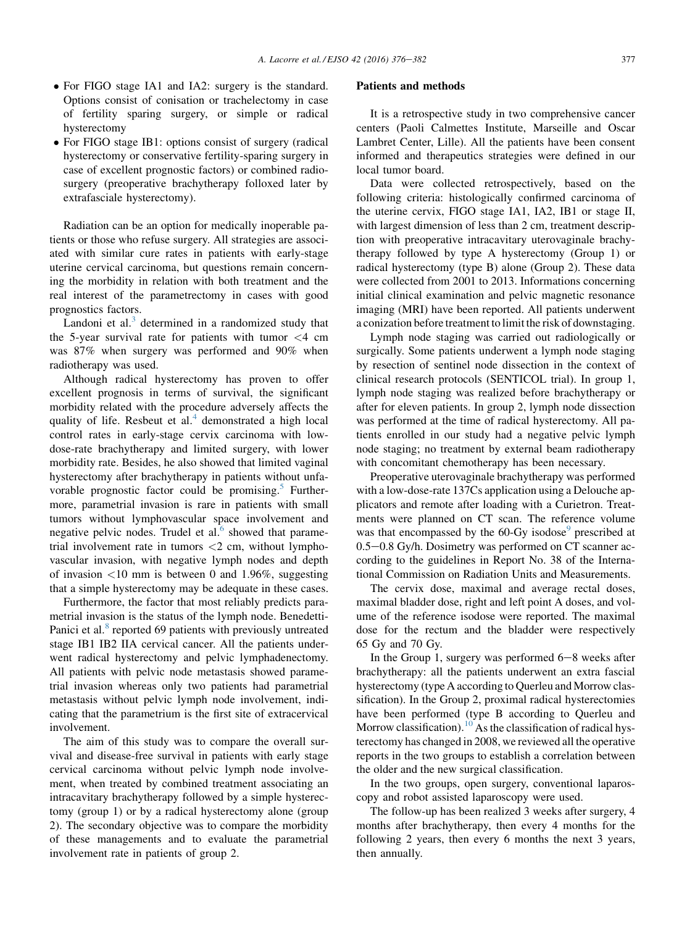- For FIGO stage IA1 and IA2: surgery is the standard. Options consist of conisation or trachelectomy in case of fertility sparing surgery, or simple or radical hysterectomy
- For FIGO stage IB1: options consist of surgery (radical hysterectomy or conservative fertility-sparing surgery in case of excellent prognostic factors) or combined radiosurgery (preoperative brachytherapy folloxed later by extrafasciale hysterectomy).

Radiation can be an option for medically inoperable patients or those who refuse surgery. All strategies are associated with similar cure rates in patients with early-stage uterine cervical carcinoma, but questions remain concerning the morbidity in relation with both treatment and the real interest of the parametrectomy in cases with good prognostics factors.

Landoni et al. $3$  determined in a randomized study that the 5-year survival rate for patients with tumor  $\langle 4 \rangle$  cm was 87% when surgery was performed and 90% when radiotherapy was used.

Although radical hysterectomy has proven to offer excellent prognosis in terms of survival, the significant morbidity related with the procedure adversely affects the quality of life. Resbeut et al. $4$  demonstrated a high local control rates in early-stage cervix carcinoma with lowdose-rate brachytherapy and limited surgery, with lower morbidity rate. Besides, he also showed that limited vaginal hysterectomy after brachytherapy in patients without unfa-vorable prognostic factor could be promising.<sup>[5](#page-5-0)</sup> Furthermore, parametrial invasion is rare in patients with small tumors without lymphovascular space involvement and negative pelvic nodes. Trudel et al. $\overline{6}$  $\overline{6}$  $\overline{6}$  showed that parametrial involvement rate in tumors  $\langle 2 \text{ cm}, \text{ without lympho-} \rangle$ vascular invasion, with negative lymph nodes and depth of invasion  $\langle 10 \text{ mm}$  is between 0 and 1.96%, suggesting that a simple hysterectomy may be adequate in these cases.

Furthermore, the factor that most reliably predicts parametrial invasion is the status of the lymph node. Benedetti-Panici et al.<sup>[8](#page-5-0)</sup> reported 69 patients with previously untreated stage IB1 IB2 IIA cervical cancer. All the patients underwent radical hysterectomy and pelvic lymphadenectomy. All patients with pelvic node metastasis showed parametrial invasion whereas only two patients had parametrial metastasis without pelvic lymph node involvement, indicating that the parametrium is the first site of extracervical involvement.

The aim of this study was to compare the overall survival and disease-free survival in patients with early stage cervical carcinoma without pelvic lymph node involvement, when treated by combined treatment associating an intracavitary brachytherapy followed by a simple hysterectomy (group 1) or by a radical hysterectomy alone (group 2). The secondary objective was to compare the morbidity of these managements and to evaluate the parametrial involvement rate in patients of group 2.

# Patients and methods

It is a retrospective study in two comprehensive cancer centers (Paoli Calmettes Institute, Marseille and Oscar Lambret Center, Lille). All the patients have been consent informed and therapeutics strategies were defined in our local tumor board.

Data were collected retrospectively, based on the following criteria: histologically confirmed carcinoma of the uterine cervix, FIGO stage IA1, IA2, IB1 or stage II, with largest dimension of less than 2 cm, treatment description with preoperative intracavitary uterovaginale brachytherapy followed by type A hysterectomy (Group 1) or radical hysterectomy (type B) alone (Group 2). These data were collected from 2001 to 2013. Informations concerning initial clinical examination and pelvic magnetic resonance imaging (MRI) have been reported. All patients underwent a conization before treatment to limit the risk of downstaging.

Lymph node staging was carried out radiologically or surgically. Some patients underwent a lymph node staging by resection of sentinel node dissection in the context of clinical research protocols (SENTICOL trial). In group 1, lymph node staging was realized before brachytherapy or after for eleven patients. In group 2, lymph node dissection was performed at the time of radical hysterectomy. All patients enrolled in our study had a negative pelvic lymph node staging; no treatment by external beam radiotherapy with concomitant chemotherapy has been necessary.

Preoperative uterovaginale brachytherapy was performed with a low-dose-rate 137Cs application using a Delouche applicators and remote after loading with a Curietron. Treatments were planned on CT scan. The reference volume was that encompassed by the  $60$ -Gy isodose $<sup>9</sup>$  $<sup>9</sup>$  $<sup>9</sup>$  prescribed at</sup>  $0.5-0.8$  Gy/h. Dosimetry was performed on CT scanner according to the guidelines in Report No. 38 of the International Commission on Radiation Units and Measurements.

The cervix dose, maximal and average rectal doses, maximal bladder dose, right and left point A doses, and volume of the reference isodose were reported. The maximal dose for the rectum and the bladder were respectively 65 Gy and 70 Gy.

In the Group 1, surgery was performed  $6-8$  weeks after brachytherapy: all the patients underwent an extra fascial hysterectomy (type A according to Querleu and Morrow classification). In the Group 2, proximal radical hysterectomies have been performed (type B according to Querleu and Morrow classification).<sup>[10](#page-5-0)</sup> As the classification of radical hysterectomy has changed in 2008, we reviewed all the operative reports in the two groups to establish a correlation between the older and the new surgical classification.

In the two groups, open surgery, conventional laparoscopy and robot assisted laparoscopy were used.

The follow-up has been realized 3 weeks after surgery, 4 months after brachytherapy, then every 4 months for the following 2 years, then every 6 months the next 3 years, then annually.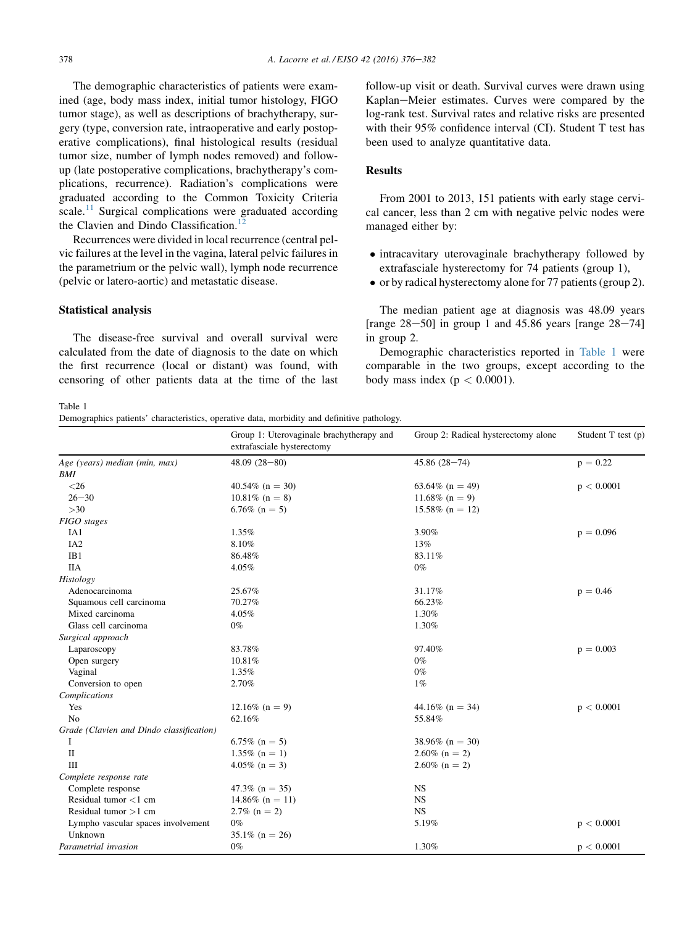The demographic characteristics of patients were examined (age, body mass index, initial tumor histology, FIGO tumor stage), as well as descriptions of brachytherapy, surgery (type, conversion rate, intraoperative and early postoperative complications), final histological results (residual tumor size, number of lymph nodes removed) and followup (late postoperative complications, brachytherapy's complications, recurrence). Radiation's complications were graduated according to the Common Toxicity Criteria scale.<sup>[11](#page-5-0)</sup> Surgical complications were graduated according the Clavien and Dindo Classification.<sup>[12](#page-5-0)</sup>

Recurrences were divided in local recurrence (central pelvic failures at the level in the vagina, lateral pelvic failures in the parametrium or the pelvic wall), lymph node recurrence (pelvic or latero-aortic) and metastatic disease.

#### Statistical analysis

The disease-free survival and overall survival were calculated from the date of diagnosis to the date on which the first recurrence (local or distant) was found, with censoring of other patients data at the time of the last follow-up visit or death. Survival curves were drawn using Kaplan–Meier estimates. Curves were compared by the log-rank test. Survival rates and relative risks are presented with their 95% confidence interval (CI). Student T test has been used to analyze quantitative data.

# **Results**

From 2001 to 2013, 151 patients with early stage cervical cancer, less than 2 cm with negative pelvic nodes were managed either by:

- intracavitary uterovaginale brachytherapy followed by extrafasciale hysterectomy for 74 patients (group 1),
- or by radical hysterectomy alone for 77 patients (group 2).

The median patient age at diagnosis was 48.09 years [range  $28-50$ ] in group 1 and 45.86 years [range  $28-74$ ] in group 2.

Demographic characteristics reported in Table 1 were comparable in the two groups, except according to the body mass index ( $p < 0.0001$ ).

Table 1

Demographics patients' characteristics, operative data, morbidity and definitive pathology.

|                                          | Group 1: Uterovaginale brachytherapy and<br>extrafasciale hysterectomy | Group 2: Radical hysterectomy alone | Student T test (p) |  |
|------------------------------------------|------------------------------------------------------------------------|-------------------------------------|--------------------|--|
| Age (years) median (min, max)            | $48.09(28-80)$                                                         | $45.86(28 - 74)$                    | $p = 0.22$         |  |
| BMI                                      |                                                                        |                                     |                    |  |
| $<$ 26                                   | $40.54\%$ (n = 30)                                                     | 63.64\% (n = 49)                    | p < 0.0001         |  |
| $26 - 30$                                | $10.81\%$ (n = 8)                                                      | 11.68% ( $n = 9$ )                  |                    |  |
| $>30$                                    | 6.76\% $(n = 5)$                                                       | $15.58\%$ (n = 12)                  |                    |  |
| FIGO stages                              |                                                                        |                                     |                    |  |
| IA1                                      | 1.35%                                                                  | 3.90%                               | $p = 0.096$        |  |
| IA <sub>2</sub>                          | 8.10%                                                                  | 13%                                 |                    |  |
| IB1                                      | 86.48%                                                                 | 83.11%                              |                    |  |
| <b>IIA</b>                               | 4.05%                                                                  | $0\%$                               |                    |  |
| Histology                                |                                                                        |                                     |                    |  |
| Adenocarcinoma                           | 25.67%                                                                 | 31.17%                              | $p = 0.46$         |  |
| Squamous cell carcinoma                  | 70.27%                                                                 | 66.23%                              |                    |  |
| Mixed carcinoma                          | 4.05%                                                                  | 1.30%                               |                    |  |
| Glass cell carcinoma                     | $0\%$                                                                  | 1.30%                               |                    |  |
| Surgical approach                        |                                                                        |                                     |                    |  |
| Laparoscopy                              | 83.78%                                                                 | 97.40%                              | $p = 0.003$        |  |
| Open surgery                             | 10.81%                                                                 | $0\%$                               |                    |  |
| Vaginal                                  | 1.35%                                                                  | $0\%$                               |                    |  |
| Conversion to open                       | 2.70%                                                                  | $1\%$                               |                    |  |
| Complications                            |                                                                        |                                     |                    |  |
| Yes                                      | $12.16\%$ (n = 9)                                                      | 44.16\% (n = 34)                    | p < 0.0001         |  |
| No                                       | 62.16%                                                                 | 55.84%                              |                    |  |
| Grade (Clavien and Dindo classification) |                                                                        |                                     |                    |  |
| 1                                        | 6.75% ( $n = 5$ )                                                      | 38.96% ( $n = 30$ )                 |                    |  |
| $\mathbf{I}$                             | $1.35\%$ (n = 1)                                                       | $2.60\%$ (n = 2)                    |                    |  |
| ΠI                                       | $4.05\%$ (n = 3)                                                       | $2.60\%$ (n = 2)                    |                    |  |
| Complete response rate                   |                                                                        |                                     |                    |  |
| Complete response                        | $47.3\%$ (n = 35)                                                      | <b>NS</b>                           |                    |  |
| Residual tumor $<$ 1 cm                  | $14.86\%$ (n = 11)                                                     | NS                                  |                    |  |
| Residual tumor $>1$ cm                   | $2.7\%$ (n = 2)                                                        | <b>NS</b>                           |                    |  |
| Lympho vascular spaces involvement       | $0\%$                                                                  | 5.19%                               | p < 0.0001         |  |
| Unknown                                  | $35.1\%$ (n = 26)                                                      |                                     |                    |  |
| Parametrial invasion                     | $0\%$                                                                  | 1.30%                               | p < 0.0001         |  |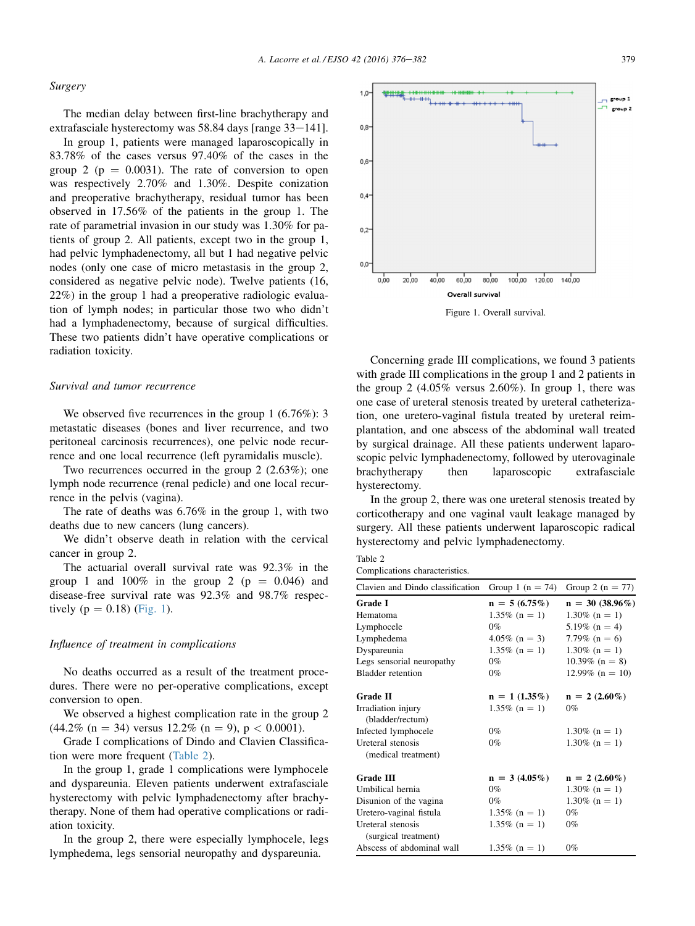#### Surgery

The median delay between first-line brachytherapy and extrafasciale hysterectomy was 58.84 days [range 33-141].

In group 1, patients were managed laparoscopically in 83.78% of the cases versus 97.40% of the cases in the group 2 ( $p = 0.0031$ ). The rate of conversion to open was respectively 2.70% and 1.30%. Despite conization and preoperative brachytherapy, residual tumor has been observed in 17.56% of the patients in the group 1. The rate of parametrial invasion in our study was 1.30% for patients of group 2. All patients, except two in the group 1, had pelvic lymphadenectomy, all but 1 had negative pelvic nodes (only one case of micro metastasis in the group 2, considered as negative pelvic node). Twelve patients (16, 22%) in the group 1 had a preoperative radiologic evaluation of lymph nodes; in particular those two who didn't had a lymphadenectomy, because of surgical difficulties. These two patients didn't have operative complications or radiation toxicity.

#### Survival and tumor recurrence

We observed five recurrences in the group 1 (6.76%): 3 metastatic diseases (bones and liver recurrence, and two peritoneal carcinosis recurrences), one pelvic node recurrence and one local recurrence (left pyramidalis muscle).

Two recurrences occurred in the group 2 (2.63%); one lymph node recurrence (renal pedicle) and one local recurrence in the pelvis (vagina).

The rate of deaths was 6.76% in the group 1, with two deaths due to new cancers (lung cancers).

We didn't observe death in relation with the cervical cancer in group 2.

The actuarial overall survival rate was 92.3% in the group 1 and  $100\%$  in the group 2 (p = 0.046) and disease-free survival rate was 92.3% and 98.7% respectively ( $p = 0.18$ ) (Fig. 1).

#### Influence of treatment in complications

No deaths occurred as a result of the treatment procedures. There were no per-operative complications, except conversion to open.

We observed a highest complication rate in the group 2  $(44.2\% \text{ (n = 34) versus } 12.2\% \text{ (n = 9), p < } 0.0001).$ 

Grade I complications of Dindo and Clavien Classification were more frequent (Table 2).

In the group 1, grade 1 complications were lymphocele and dyspareunia. Eleven patients underwent extrafasciale hysterectomy with pelvic lymphadenectomy after brachytherapy. None of them had operative complications or radiation toxicity.

In the group 2, there were especially lymphocele, legs lymphedema, legs sensorial neuropathy and dyspareunia.



Concerning grade III complications, we found 3 patients with grade III complications in the group 1 and 2 patients in the group 2  $(4.05\%$  versus 2.60%). In group 1, there was one case of ureteral stenosis treated by ureteral catheterization, one uretero-vaginal fistula treated by ureteral reimplantation, and one abscess of the abdominal wall treated by surgical drainage. All these patients underwent laparoscopic pelvic lymphadenectomy, followed by uterovaginale brachytherapy then laparoscopic extrafasciale hysterectomy.

In the group 2, there was one ureteral stenosis treated by corticotherapy and one vaginal vault leakage managed by surgery. All these patients underwent laparoscopic radical hysterectomy and pelvic lymphadenectomy.

| Table 2 |  |  |
|---------|--|--|
|         |  |  |

Complications characteristics.

| Clavien and Dindo classification       | Group 1 ( $n = 74$ ) | Group 2 ( $n = 77$ ) |
|----------------------------------------|----------------------|----------------------|
| Grade I                                | $n = 5(6.75%)$       | $n = 30(38.96\%)$    |
| Hematoma                               | $1.35\%$ (n = 1)     | $1.30\%$ (n = 1)     |
| Lymphocele                             | $0\%$                | 5.19% $(n = 4)$      |
| Lymphedema                             | $4.05\%$ (n = 3)     | 7.79% ( $n = 6$ )    |
| Dyspareunia                            | $1.35\%$ (n = 1)     | $1.30\%$ (n = 1)     |
| Legs sensorial neuropathy              | $0\%$                | $10.39\%$ (n = 8)    |
| <b>Bladder</b> retention               | $0\%$                | $12.99\%$ (n = 10)   |
| Grade II                               | $n = 1 (1.35\%)$     | $n = 2$ (2.60%)      |
| Irradiation injury<br>(bladder/rectum) | $1.35\%$ (n = 1)     | $0\%$                |
| Infected lymphocele                    | $0\%$                | $1.30\%$ (n = 1)     |
| Ureteral stenosis                      | $0\%$                | $1.30\%$ (n = 1)     |
| (medical treatment)                    |                      |                      |
| <b>Grade III</b>                       | $n = 3(4.05\%)$      | $n = 2$ (2.60%)      |
| Umbilical hernia                       | $0\%$                | $1.30\%$ (n = 1)     |
| Disunion of the vagina                 | $0\%$                | $1.30\%$ (n = 1)     |
| Uretero-vaginal fistula                | $1.35\%$ (n = 1)     | $0\%$                |
| Ureteral stenosis                      | $1.35\%$ (n = 1)     | $0\%$                |
| (surgical treatment)                   |                      |                      |
| Abscess of abdominal wall              | $1.35\%$ (n = 1)     | $0\%$                |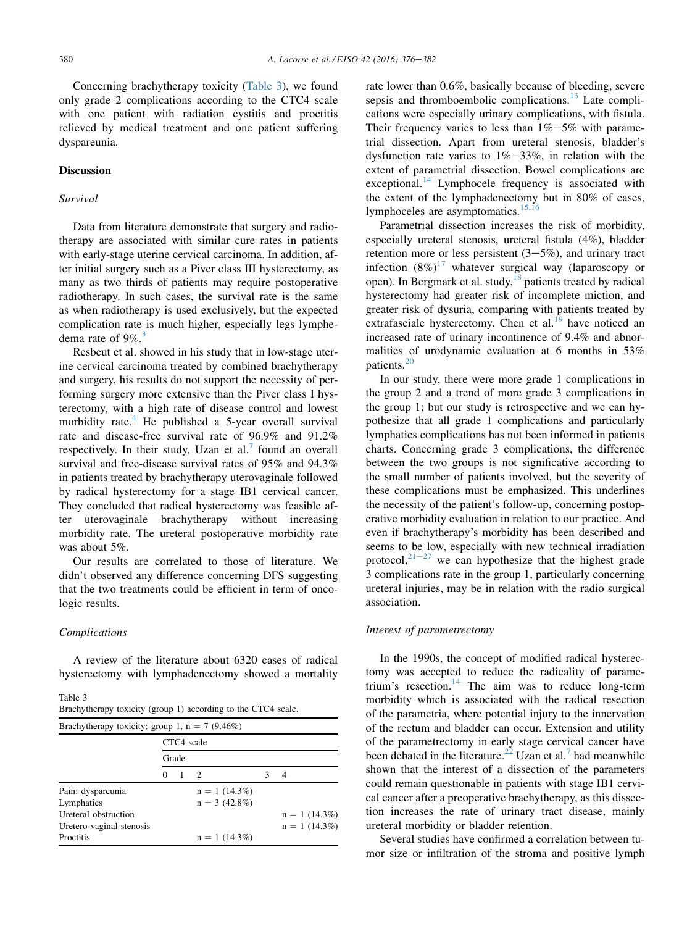Concerning brachytherapy toxicity (Table 3), we found only grade 2 complications according to the CTC4 scale with one patient with radiation cystitis and proctitis relieved by medical treatment and one patient suffering dyspareunia.

#### Discussion

## Survival

Data from literature demonstrate that surgery and radiotherapy are associated with similar cure rates in patients with early-stage uterine cervical carcinoma. In addition, after initial surgery such as a Piver class III hysterectomy, as many as two thirds of patients may require postoperative radiotherapy. In such cases, the survival rate is the same as when radiotherapy is used exclusively, but the expected complication rate is much higher, especially legs lymphedema rate of  $9\%$ .<sup>[3](#page-5-0)</sup>

Resbeut et al. showed in his study that in low-stage uterine cervical carcinoma treated by combined brachytherapy and surgery, his results do not support the necessity of performing surgery more extensive than the Piver class I hysterectomy, with a high rate of disease control and lowest morbidity rate.<sup>4</sup> He published a 5-year overall survival rate and disease-free survival rate of 96.9% and 91.2% respectively. In their study, Uzan et al.<sup>[7](#page-5-0)</sup> found an overall survival and free-disease survival rates of 95% and 94.3% in patients treated by brachytherapy uterovaginale followed by radical hysterectomy for a stage IB1 cervical cancer. They concluded that radical hysterectomy was feasible after uterovaginale brachytherapy without increasing morbidity rate. The ureteral postoperative morbidity rate was about 5%.

Our results are correlated to those of literature. We didn't observed any difference concerning DFS suggesting that the two treatments could be efficient in term of oncologic results.

#### Complications

A review of the literature about 6320 cases of radical hysterectomy with lymphadenectomy showed a mortality

Table 3

| Brachytherapy toxicity (group 1) according to the CTC4 scale. |  |  |
|---------------------------------------------------------------|--|--|
|---------------------------------------------------------------|--|--|

| Brachytherapy toxicity: group 1, $n = 7$ (9.46%) |            |                |                          |  |                 |
|--------------------------------------------------|------------|----------------|--------------------------|--|-----------------|
|                                                  | CTC4 scale |                |                          |  |                 |
|                                                  | Grade      |                |                          |  |                 |
|                                                  | 0          | $\overline{1}$ | $\overline{\phantom{a}}$ |  | 4               |
| Pain: dyspareunia                                |            |                | $n = 1$ (14.3%)          |  |                 |
| Lymphatics                                       |            |                | $n = 3(42.8\%)$          |  |                 |
| Ureteral obstruction                             |            |                |                          |  | $n = 1$ (14.3%) |
| Uretero-vaginal stenosis                         |            |                |                          |  | $n = 1$ (14.3%) |
| Proctitis                                        |            |                | $n = 1$ (14.3%)          |  |                 |

rate lower than 0.6%, basically because of bleeding, severe sepsis and thromboembolic complications. $^{13}$  $^{13}$  $^{13}$  Late complications were especially urinary complications, with fistula. Their frequency varies to less than  $1\% - 5\%$  with parametrial dissection. Apart from ureteral stenosis, bladder's dysfunction rate varies to  $1\% - 33\%$ , in relation with the extent of parametrial dissection. Bowel complications are exceptional.<sup>[14](#page-5-0)</sup> Lymphocele frequency is associated with the extent of the lymphadenectomy but in 80% of cases, lymphoceles are asymptomatics.<sup>[15,16](#page-5-0)</sup>

Parametrial dissection increases the risk of morbidity, especially ureteral stenosis, ureteral fistula (4%), bladder retention more or less persistent  $(3-5\%)$ , and urinary tract infection  $(8\%)^{17}$  $(8\%)^{17}$  $(8\%)^{17}$  whatever surgical way (laparoscopy or open). In Bergmark et al. study, $18$  patients treated by radical hysterectomy had greater risk of incomplete miction, and greater risk of dysuria, comparing with patients treated by extrafasciale hysterectomy. Chen et al. $^{19}$  $^{19}$  $^{19}$  have noticed an increased rate of urinary incontinence of 9.4% and abnormalities of urodynamic evaluation at 6 months in 53% patients.[20](#page-5-0)

In our study, there were more grade 1 complications in the group 2 and a trend of more grade 3 complications in the group 1; but our study is retrospective and we can hypothesize that all grade 1 complications and particularly lymphatics complications has not been informed in patients charts. Concerning grade 3 complications, the difference between the two groups is not significative according to the small number of patients involved, but the severity of these complications must be emphasized. This underlines the necessity of the patient's follow-up, concerning postoperative morbidity evaluation in relation to our practice. And even if brachytherapy's morbidity has been described and seems to be low, especially with new technical irradiation protocol,  $2^{1-27}$  $2^{1-27}$  $2^{1-27}$  we can hypothesize that the highest grade 3 complications rate in the group 1, particularly concerning ureteral injuries, may be in relation with the radio surgical association.

# Interest of parametrectomy

In the 1990s, the concept of modified radical hysterectomy was accepted to reduce the radicality of parametrium's resection.<sup>14</sup> The aim was to reduce long-term morbidity which is associated with the radical resection of the parametria, where potential injury to the innervation of the rectum and bladder can occur. Extension and utility of the parametrectomy in early stage cervical cancer have been debated in the literature.<sup>[22](#page-6-0)</sup> Uzan et al.<sup>[7](#page-5-0)</sup> had meanwhile shown that the interest of a dissection of the parameters could remain questionable in patients with stage IB1 cervical cancer after a preoperative brachytherapy, as this dissection increases the rate of urinary tract disease, mainly ureteral morbidity or bladder retention.

Several studies have confirmed a correlation between tumor size or infiltration of the stroma and positive lymph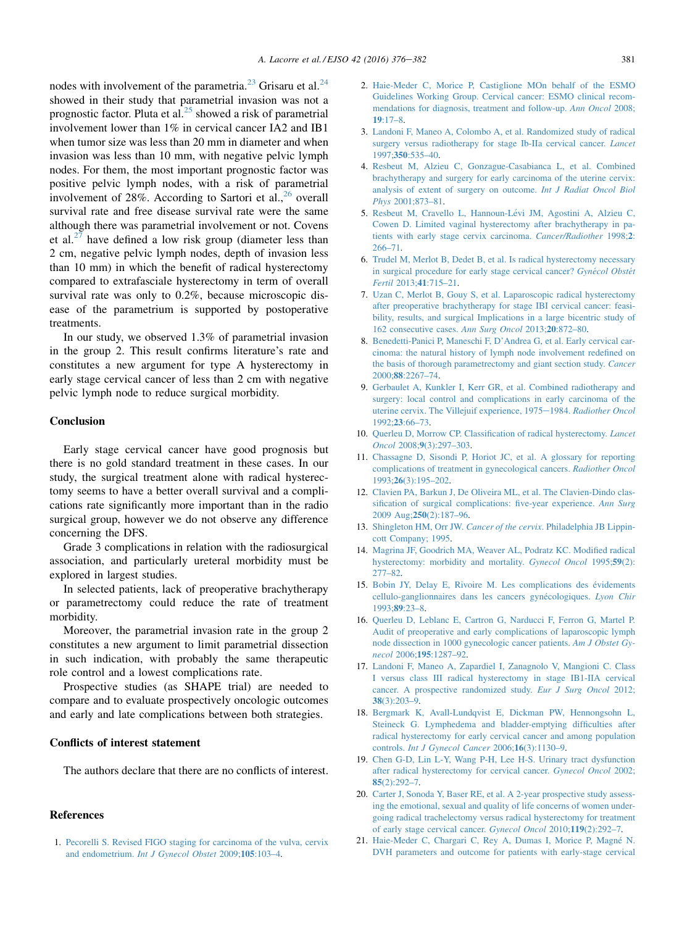<span id="page-5-0"></span>nodes with involvement of the parametria.<sup>[23](#page-6-0)</sup> Grisaru et al.<sup>[24](#page-6-0)</sup> showed in their study that parametrial invasion was not a prognostic factor. Pluta et al. $^{25}$  $^{25}$  $^{25}$  showed a risk of parametrial involvement lower than 1% in cervical cancer IA2 and IB1 when tumor size was less than 20 mm in diameter and when invasion was less than 10 mm, with negative pelvic lymph nodes. For them, the most important prognostic factor was positive pelvic lymph nodes, with a risk of parametrial involvement of 28%. According to Sartori et al.,  $^{26}$  $^{26}$  $^{26}$  overall survival rate and free disease survival rate were the same although there was parametrial involvement or not. Covens et al. $^{27}$  $^{27}$  $^{27}$  have defined a low risk group (diameter less than 2 cm, negative pelvic lymph nodes, depth of invasion less than 10 mm) in which the benefit of radical hysterectomy compared to extrafasciale hysterectomy in term of overall survival rate was only to 0.2%, because microscopic disease of the parametrium is supported by postoperative treatments.

In our study, we observed 1.3% of parametrial invasion in the group 2. This result confirms literature's rate and constitutes a new argument for type A hysterectomy in early stage cervical cancer of less than 2 cm with negative pelvic lymph node to reduce surgical morbidity.

# Conclusion

Early stage cervical cancer have good prognosis but there is no gold standard treatment in these cases. In our study, the surgical treatment alone with radical hysterectomy seems to have a better overall survival and a complications rate significantly more important than in the radio surgical group, however we do not observe any difference concerning the DFS.

Grade 3 complications in relation with the radiosurgical association, and particularly ureteral morbidity must be explored in largest studies.

In selected patients, lack of preoperative brachytherapy or parametrectomy could reduce the rate of treatment morbidity.

Moreover, the parametrial invasion rate in the group 2 constitutes a new argument to limit parametrial dissection in such indication, with probably the same therapeutic role control and a lowest complications rate.

Prospective studies (as SHAPE trial) are needed to compare and to evaluate prospectively oncologic outcomes and early and late complications between both strategies.

## Conflicts of interest statement

The authors declare that there are no conflicts of interest.

# References

1. [Pecorelli S. Revised FIGO staging for carcinoma of the vulva, cervix](http://refhub.elsevier.com/S0748-7983(15)00902-6/sref1) and endometrium. [Int J Gynecol Obstet](http://refhub.elsevier.com/S0748-7983(15)00902-6/sref1) 2009;105:103–4.

- 2. [Haie-Meder C, Morice P, Castiglione MOn behalf of the ESMO](http://refhub.elsevier.com/S0748-7983(15)00902-6/sref2) [Guidelines Working Group. Cervical cancer: ESMO clinical recom](http://refhub.elsevier.com/S0748-7983(15)00902-6/sref2)[mendations for diagnosis, treatment and follow-up.](http://refhub.elsevier.com/S0748-7983(15)00902-6/sref2) Ann Oncol 2008; 19[:17–8.](http://refhub.elsevier.com/S0748-7983(15)00902-6/sref2)
- 3. [Landoni F, Maneo A, Colombo A, et al. Randomized study of radical](http://refhub.elsevier.com/S0748-7983(15)00902-6/sref3) [surgery versus radiotherapy for stage Ib-IIa cervical cancer.](http://refhub.elsevier.com/S0748-7983(15)00902-6/sref3) *Lancet* 1997;350[:535–40.](http://refhub.elsevier.com/S0748-7983(15)00902-6/sref3)
- 4. [Resbeut M, Alzieu C, Gonzague-Casabianca L, et al. Combined](http://refhub.elsevier.com/S0748-7983(15)00902-6/sref4) [brachytherapy and surgery for early carcinoma of the uterine cervix:](http://refhub.elsevier.com/S0748-7983(15)00902-6/sref4) [analysis of extent of surgery on outcome.](http://refhub.elsevier.com/S0748-7983(15)00902-6/sref4) Int J Radiat Oncol Biol  $Phv_s$  [2001;873–81.](http://refhub.elsevier.com/S0748-7983(15)00902-6/sref4)
- 5. [Resbeut M, Cravello L, Hannoun-L](http://refhub.elsevier.com/S0748-7983(15)00902-6/sref5)e[vi JM, Agostini A, Alzieu C,](http://refhub.elsevier.com/S0748-7983(15)00902-6/sref5) [Cowen D. Limited vaginal hysterectomy after brachytherapy in pa](http://refhub.elsevier.com/S0748-7983(15)00902-6/sref5)[tients with early stage cervix carcinoma.](http://refhub.elsevier.com/S0748-7983(15)00902-6/sref5) Cancer/Radiother 1998;2: [266–71](http://refhub.elsevier.com/S0748-7983(15)00902-6/sref5).
- 6. [Trudel M, Merlot B, Dedet B, et al. Is radical hysterectomy necessary](http://refhub.elsevier.com/S0748-7983(15)00902-6/sref6) [in surgical procedure for early stage cervical cancer?](http://refhub.elsevier.com/S0748-7983(15)00902-6/sref6) Gyné[col Obst](http://refhub.elsevier.com/S0748-7983(15)00902-6/sref6)ét Fertil 2013;41[:715–21.](http://refhub.elsevier.com/S0748-7983(15)00902-6/sref6)
- 7. [Uzan C, Merlot B, Gouy S, et al. Laparoscopic radical hysterectomy](http://refhub.elsevier.com/S0748-7983(15)00902-6/sref7) [after preoperative brachytherapy for stage IBI cervical cancer: feasi](http://refhub.elsevier.com/S0748-7983(15)00902-6/sref7)[bility, results, and surgical Implications in a large bicentric study of](http://refhub.elsevier.com/S0748-7983(15)00902-6/sref7) [162 consecutive cases.](http://refhub.elsevier.com/S0748-7983(15)00902-6/sref7) Ann Surg Oncol 2013;20:872–80.
- 8. [Benedetti-Panici P, Maneschi F, D'Andrea G, et al. Early cervical car](http://refhub.elsevier.com/S0748-7983(15)00902-6/sref8)[cinoma: the natural history of lymph node involvement redefined on](http://refhub.elsevier.com/S0748-7983(15)00902-6/sref8) [the basis of thorough parametrectomy and giant section study.](http://refhub.elsevier.com/S0748-7983(15)00902-6/sref8) Cancer 2000;88[:2267–74.](http://refhub.elsevier.com/S0748-7983(15)00902-6/sref8)
- 9. [Gerbaulet A, Kunkler I, Kerr GR, et al. Combined radiotherapy and](http://refhub.elsevier.com/S0748-7983(15)00902-6/sref9) [surgery: local control and complications in early carcinoma of the](http://refhub.elsevier.com/S0748-7983(15)00902-6/sref9) [uterine cervix. The Villejuif experience, 1975](http://refhub.elsevier.com/S0748-7983(15)00902-6/sref9)–1984. [Radiother Oncol](http://refhub.elsevier.com/S0748-7983(15)00902-6/sref9) 1992;23[:66–73.](http://refhub.elsevier.com/S0748-7983(15)00902-6/sref9)
- 10. [Querleu D, Morrow CP. Classification of radical hysterectomy.](http://refhub.elsevier.com/S0748-7983(15)00902-6/sref10) Lancet Oncol 2008;9[\(3\):297–303.](http://refhub.elsevier.com/S0748-7983(15)00902-6/sref10)
- 11. [Chassagne D, Sisondi P, Horiot JC, et al. A glossary for reporting](http://refhub.elsevier.com/S0748-7983(15)00902-6/sref11) [complications of treatment in gynecological cancers.](http://refhub.elsevier.com/S0748-7983(15)00902-6/sref11) Radiother Oncol 1993;26[\(3\):195–202.](http://refhub.elsevier.com/S0748-7983(15)00902-6/sref11)
- 12. [Clavien PA, Barkun J, De Oliveira ML, et al. The Clavien-Dindo clas](http://refhub.elsevier.com/S0748-7983(15)00902-6/sref12)[sification of surgical complications: five-year experience.](http://refhub.elsevier.com/S0748-7983(15)00902-6/sref12) Ann Surg 2009 Aug;250[\(2\):187–96](http://refhub.elsevier.com/S0748-7983(15)00902-6/sref12).
- 13. Shingleton HM, Orr JW. Cancer of the cervix[. Philadelphia JB Lippin](http://refhub.elsevier.com/S0748-7983(15)00902-6/sref13)[cott Company; 1995.](http://refhub.elsevier.com/S0748-7983(15)00902-6/sref13)
- 14. [Magrina JF, Goodrich MA, Weaver AL, Podratz KC. Modified radical](http://refhub.elsevier.com/S0748-7983(15)00902-6/sref14) [hysterectomy: morbidity and mortality.](http://refhub.elsevier.com/S0748-7983(15)00902-6/sref14) Gynecol Oncol 1995;59(2): [277–82](http://refhub.elsevier.com/S0748-7983(15)00902-6/sref14).
- 15. [Bobin JY, Delay E, Rivoire M. Les complications des](http://refhub.elsevier.com/S0748-7983(15)00902-6/sref15) é[videments](http://refhub.elsevier.com/S0748-7983(15)00902-6/sref15) [cellulo-ganglionnaires dans les cancers gyn](http://refhub.elsevier.com/S0748-7983(15)00902-6/sref15)é[cologiques.](http://refhub.elsevier.com/S0748-7983(15)00902-6/sref15) Lyon Chir  $1993.89.23 - 8$
- 16. [Querleu D, Leblanc E, Cartron G, Narducci F, Ferron G, Martel P.](http://refhub.elsevier.com/S0748-7983(15)00902-6/sref16) [Audit of preoperative and early complications of laparoscopic lymph](http://refhub.elsevier.com/S0748-7983(15)00902-6/sref16) [node dissection in 1000 gynecologic cancer patients.](http://refhub.elsevier.com/S0748-7983(15)00902-6/sref16) Am J Obstet Gynecol 2006;195[:1287–92.](http://refhub.elsevier.com/S0748-7983(15)00902-6/sref16)
- 17. [Landoni F, Maneo A, Zapardiel I, Zanagnolo V, Mangioni C. Class](http://refhub.elsevier.com/S0748-7983(15)00902-6/sref17) [I versus class III radical hysterectomy in stage IB1-IIA cervical](http://refhub.elsevier.com/S0748-7983(15)00902-6/sref17) [cancer. A prospective randomized study.](http://refhub.elsevier.com/S0748-7983(15)00902-6/sref17) Eur J Surg Oncol 2012; 38[\(3\):203–9.](http://refhub.elsevier.com/S0748-7983(15)00902-6/sref17)
- 18. [Bergmark K, Avall-Lundqvist E, Dickman PW, Hennongsohn L,](http://refhub.elsevier.com/S0748-7983(15)00902-6/sref18) [Steineck G. Lymphedema and bladder-emptying difficulties after](http://refhub.elsevier.com/S0748-7983(15)00902-6/sref18) [radical hysterectomy for early cervical cancer and among population](http://refhub.elsevier.com/S0748-7983(15)00902-6/sref18) controls. [Int J Gynecol Cancer](http://refhub.elsevier.com/S0748-7983(15)00902-6/sref18) 2006;16(3):1130–9.
- 19. [Chen G-D, Lin L-Y, Wang P-H, Lee H-S. Urinary tract dysfunction](http://refhub.elsevier.com/S0748-7983(15)00902-6/sref19) [after radical hysterectomy for cervical cancer.](http://refhub.elsevier.com/S0748-7983(15)00902-6/sref19) Gynecol Oncol 2002; 85[\(2\):292–7.](http://refhub.elsevier.com/S0748-7983(15)00902-6/sref19)
- 20. [Carter J, Sonoda Y, Baser RE, et al. A 2-year prospective study assess](http://refhub.elsevier.com/S0748-7983(15)00902-6/sref20)[ing the emotional, sexual and quality of life concerns of women under](http://refhub.elsevier.com/S0748-7983(15)00902-6/sref20)[going radical trachelectomy versus radical hysterectomy for treatment](http://refhub.elsevier.com/S0748-7983(15)00902-6/sref20) [of early stage cervical cancer.](http://refhub.elsevier.com/S0748-7983(15)00902-6/sref20) Gynecol Oncol 2010;119(2):292–7.
- 21. [Haie-Meder C, Chargari C, Rey A, Dumas I, Morice P, Magn](http://refhub.elsevier.com/S0748-7983(15)00902-6/sref21)[e N.](http://refhub.elsevier.com/S0748-7983(15)00902-6/sref21) [DVH parameters and outcome for patients with early-stage cervical](http://refhub.elsevier.com/S0748-7983(15)00902-6/sref21)